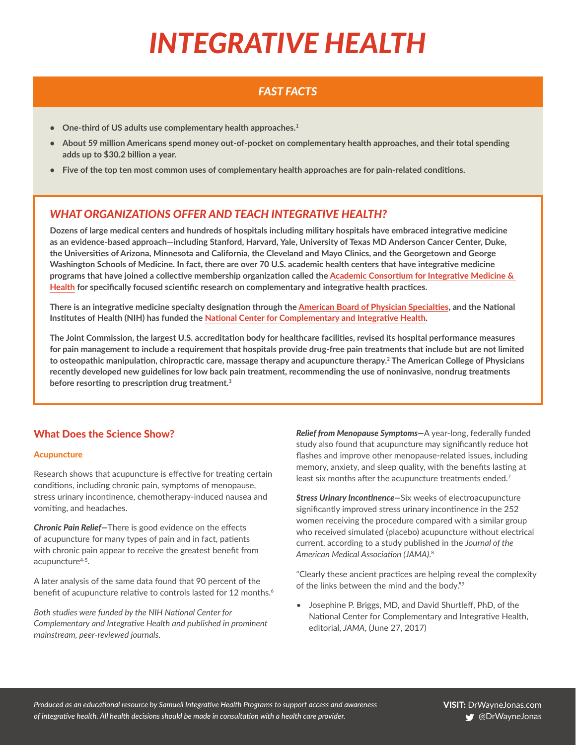# *INTEGRATIVE HEALTH*

## *FAST FACTS*

- **• One-third of US adults use complementary health approaches.1**
- **• About 59 million Americans spend money out-of-pocket on complementary health approaches, and their total spending adds up to \$30.2 billion a year.**
- **• Five of the top ten most common uses of complementary health approaches are for pain-related conditions.**

### *WHAT ORGANIZATIONS OFFER AND TEACH INTEGRATIVE HEALTH?*

**Dozens of large medical centers and hundreds of hospitals including military hospitals have embraced integrative medicine as an evidence-based approach—including Stanford, Harvard, Yale, University of Texas MD Anderson Cancer Center, Duke, the Universities of Arizona, Minnesota and California, the Cleveland and Mayo Clinics, and the Georgetown and George Washington Schools of Medicine. In fact, there are over 70 U.S. academic health centers that have integrative medicine programs that have joined a collective membership organization called the [Academic Consortium for Integrative Medicine &](https://www.imconsortium.org/)  [Health](https://www.imconsortium.org/) for specifically focused scientific research on complementary and integrative health practices.** 

**There is an integrative medicine specialty designation through the [American](http://www.abpsus.org/integrative-medicine) [Board of Physician Specialties](http://www.abpsus.org/integrative-medicine), and the National Institutes of Health (NIH) has funded the [National Center for Complementary and Integrative Health](https://nccih.nih.gov/).** 

**The Joint Commission, the largest U.S. accreditation body for healthcare facilities, revised its hospital performance measures for pain management to include a requirement that hospitals provide drug-free pain treatments that include but are not limited to osteopathic manipulation, chiropractic care, massage therapy and acupuncture therapy.2 The American College of Physicians recently developed new guidelines for low back pain treatment, recommending the use of noninvasive, nondrug treatments before resorting to prescription drug treatment.3**

#### What Does the Science Show?

#### **Acupuncture**

Research shows that acupuncture is effective for treating certain conditions, including chronic pain, symptoms of menopause, stress urinary incontinence, chemotherapy-induced nausea and vomiting, and headaches.

*Chronic Pain Relief—*There is good evidence on the effects of acupuncture for many types of pain and in fact, patients with chronic pain appear to receive the greatest benefit from acupuncture<sup>4-5</sup>.

A later analysis of the same data found that 90 percent of the benefit of acupuncture relative to controls lasted for 12 months.<sup>6</sup>

*Both studies were funded by the NIH National Center for Complementary and Integrative Health and published in prominent mainstream, peer-reviewed journals.*

*Relief from Menopause Symptoms—*A year-long, federally funded study also found that acupuncture may significantly reduce hot flashes and improve other menopause-related issues, including memory, anxiety, and sleep quality, with the benefits lasting at least six months after the acupuncture treatments ended.<sup>7</sup>

*Stress Urinary Incontinence—*Six weeks of electroacupuncture significantly improved stress urinary incontinence in the 252 women receiving the procedure compared with a similar group who received simulated (placebo) acupuncture without electrical current, according to a study published in the *Journal of the American Medical Association (JAMA)*. 8

"Clearly these ancient practices are helping reveal the complexity of the links between the mind and the body."9

• Josephine P. Briggs, MD, and David Shurtleff, PhD, of the National Center for Complementary and Integrative Health, editorial, *JAMA*, (June 27, 2017)

*Produced as an educational resource by Samueli Integrative Health Programs to support access and awareness of integrative health. All health decisions should be made in consultation with a health care provider.*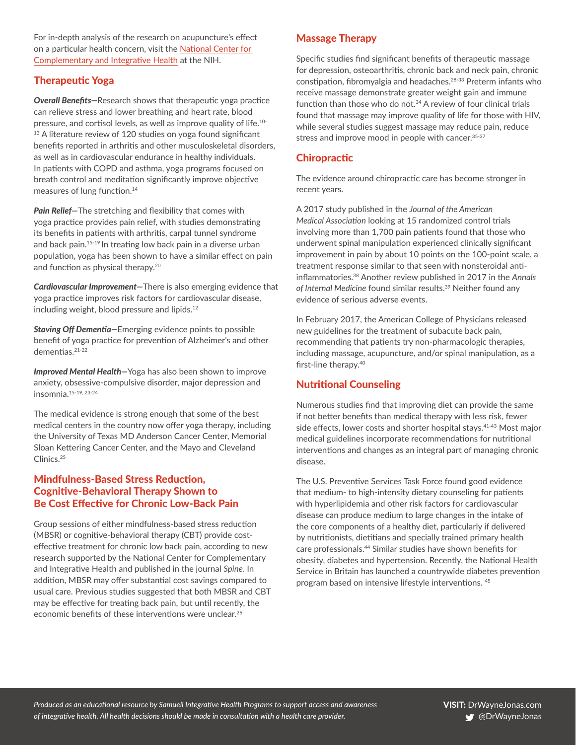For in-depth analysis of the research on acupuncture's effect on a particular health concern, visit the [National Center for](https://nccih.nih.gov/health/acupuncture/introduction)  [Complementary and Integrative Health](https://nccih.nih.gov/health/acupuncture/introduction) at the NIH.

#### Therapeutic Yoga

*Overall Benefits—*Research shows that therapeutic yoga practice can relieve stress and lower breathing and heart rate, blood pressure, and cortisol levels, as well as improve quality of life.10- <sup>13</sup> A literature review of 120 studies on yoga found significant benefits reported in arthritis and other musculoskeletal disorders, as well as in cardiovascular endurance in healthy individuals. In patients with COPD and asthma, yoga programs focused on breath control and meditation significantly improve objective measures of lung function.<sup>14</sup>

*Pain Relief—*The stretching and flexibility that comes with yoga practice provides pain relief, with studies demonstrating its benefits in patients with arthritis, carpal tunnel syndrome and back pain.15-19 In treating low back pain in a diverse urban population, yoga has been shown to have a similar effect on pain and function as physical therapy.<sup>20</sup>

*Cardiovascular Improvement—*There is also emerging evidence that yoga practice improves risk factors for cardiovascular disease, including weight, blood pressure and lipids.12

*Staving Off Dementia—*Emerging evidence points to possible benefit of yoga practice for prevention of Alzheimer's and other dementias.21-22

*Improved Mental Health—*Yoga has also been shown to improve anxiety, obsessive-compulsive disorder, major depression and insomnia.15-19, 23-24

The medical evidence is strong enough that some of the best medical centers in the country now offer yoga therapy, including the University of Texas MD Anderson Cancer Center, Memorial Sloan Kettering Cancer Center, and the Mayo and Cleveland Clinics.25

#### Mindfulness-Based Stress Reduction, Cognitive-Behavioral Therapy Shown to Be Cost Effective for Chronic Low-Back Pain

Group sessions of either mindfulness-based stress reduction (MBSR) or cognitive-behavioral therapy (CBT) provide costeffective treatment for chronic low back pain, according to new research supported by the National Center for Complementary and Integrative Health and published in the journal *Spine*. In addition, MBSR may offer substantial cost savings compared to usual care. Previous studies suggested that both MBSR and CBT may be effective for treating back pain, but until recently, the economic benefits of these interventions were unclear.<sup>26</sup>

#### Massage Therapy

Specific studies find significant benefits of therapeutic massage for depression, osteoarthritis, chronic back and neck pain, chronic constipation, fibromyalgia and headaches.28-33 Preterm infants who receive massage demonstrate greater weight gain and immune function than those who do not.34 A review of four clinical trials found that massage may improve quality of life for those with HIV, while several studies suggest massage may reduce pain, reduce stress and improve mood in people with cancer. 35-37

#### **Chiropractic**

The evidence around chiropractic care has become stronger in recent years.

A 2017 study published in the *Journal of the American Medical Association* looking at 15 randomized control trials involving more than 1,700 pain patients found that those who underwent spinal manipulation experienced clinically significant improvement in pain by about 10 points on the 100-point scale, a treatment response similar to that seen with nonsteroidal antiinflammatories.38 Another review published in 2017 in the *Annals of Internal Medicine* found similar results.39 Neither found any evidence of serious adverse events.

In February 2017, the American College of Physicians released new guidelines for the treatment of subacute back pain, recommending that patients try non-pharmacologic therapies, including massage, acupuncture, and/or spinal manipulation, as a first-line therapy.40

#### Nutritional Counseling

Numerous studies find that improving diet can provide the same if not better benefits than medical therapy with less risk, fewer side effects, lower costs and shorter hospital stays.<sup>41-43</sup> Most major medical guidelines incorporate recommendations for nutritional interventions and changes as an integral part of managing chronic disease.

The U.S. Preventive Services Task Force found good evidence that medium- to high-intensity dietary counseling for patients with hyperlipidemia and other risk factors for cardiovascular disease can produce medium to large changes in the intake of the core components of a healthy diet, particularly if delivered by nutritionists, dietitians and specially trained primary health care professionals.44 Similar studies have shown benefits for obesity, diabetes and hypertension. Recently, the National Health Service in Britain has launched a countrywide diabetes prevention program based on intensive lifestyle interventions. 45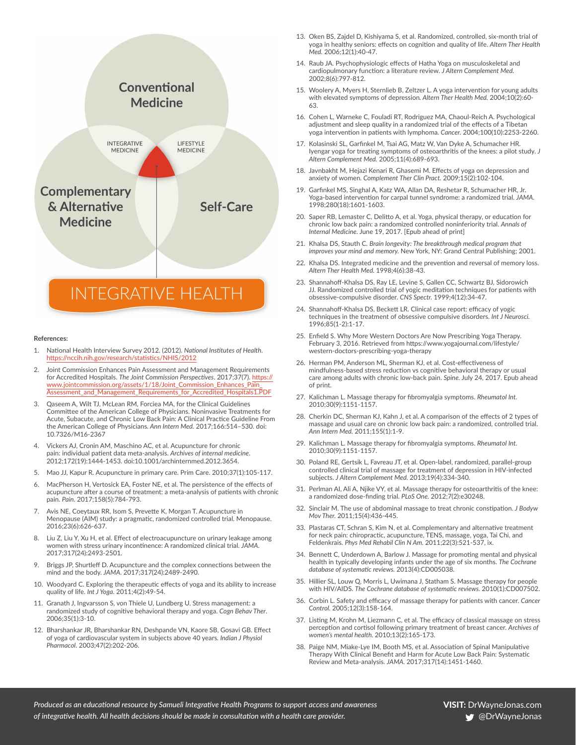

#### **References:**

- 1. National Health Interview Survey 2012. (2012). *National Institutes of Health*. <https://nccih.nih.gov/research/statistics/NHIS/2012>
- 2. Joint Commission Enhances Pain Assessment and Management Requirements for Accredited Hospitals. *The Joint Commission Perspectives*. 2017;37(7). [https://](https://www.jointcommission.org/assets/1/18/Joint_Commission_Enhances_Pain_Assessment_and_Management_Requirements_for_Accredited_Hospitals1.PDF) [www.jointcommission.org/assets/1/18/Joint\\_Commission\\_Enhances\\_Pain\\_](https://www.jointcommission.org/assets/1/18/Joint_Commission_Enhances_Pain_Assessment_and_Management_Requirements_for_Accredited_Hospitals1.PDF) [Assessment\\_and\\_Management\\_Requirements\\_for\\_Accredited\\_Hospitals1.PDF](https://www.jointcommission.org/assets/1/18/Joint_Commission_Enhances_Pain_Assessment_and_Management_Requirements_for_Accredited_Hospitals1.PDF)
- 3. Qaseem A, Wilt TJ, McLean RM, Forciea MA, for the Clinical Guidelines Committee of the American College of Physicians. Noninvasive Treatments for Acute, Subacute, and Chronic Low Back Pain: A Clinical Practice Guideline From the American College of Physicians*. Ann Intern Med.* 2017;166:514–530. doi: 10.7326/M16-2367
- 4. Vickers AJ, Cronin AM, Maschino AC, et al. Acupuncture for chronic pain: individual patient data meta-analysis. *Archives of internal medicine*. 2012;172(19):1444-1453. doi:10.1001/archinternmed.2012.3654.
- 5. Mao JJ, Kapur R. Acupuncture in primary care. Prim Care. 2010;37(1):105-117.
- 6. MacPherson H, Vertosick EA, Foster NE, et al. The persistence of the effects of acupuncture after a course of treatment: a meta-analysis of patients with chronic pain. *Pain*. 2017;158(5):784-793.
- 7. Avis NE, Coeytaux RR, Isom S, Prevette K, Morgan T. Acupuncture in Menopause (AIM) study: a pragmatic, randomized controlled trial. Menopause. 2016;23(6):626-637.
- 8. Liu Z, Liu Y, Xu H, et al. Effect of electroacupuncture on urinary leakage among women with stress urinary incontinence: A randomized clinical trial. *JAMA*. 2017;317(24):2493-2501.
- 9. Briggs JP, Shurtleff D. Acupuncture and the complex connections between the mind and the body. *JAMA*. 2017;317(24):2489-2490.
- 10. Woodyard C. Exploring the therapeutic effects of yoga and its ability to increase quality of life. *Int J Yoga*. 2011;4(2):49-54.
- 11. Granath J, Ingvarsson S, von Thiele U, Lundberg U. Stress management: a randomized study of cognitive behavioral therapy and yoga. *Cogn Behav Ther*. 2006;35(1):3-10.
- 12. Bharshankar JR, Bharshankar RN, Deshpande VN, Kaore SB, Gosavi GB. Effect of yoga of cardiovascular system in subjects above 40 years*. Indian J Physiol Pharmacol*. 2003;47(2):202-206.
- 13. Oken BS, Zajdel D, Kishiyama S, et al. Randomized, controlled, six-month trial of yoga in healthy seniors: effects on cognition and quality of life. *Altern Ther Health Med.* 2006;12(1):40-47.
- 14. Raub JA. Psychophysiologic effects of Hatha Yoga on musculoskeletal and cardiopulmonary function: a literature review. *J Altern Complement Med.*  2002;8(6):797-812.
- 15. Woolery A, Myers H, Sternlieb B, Zeltzer L. A yoga intervention for young adults with elevated symptoms of depression*. Altern Ther Health Med.* 2004;10(2):60- 63.
- 16. Cohen L, Warneke C, Fouladi RT, Rodriguez MA, Chaoul-Reich A. Psychological adjustment and sleep quality in a randomized trial of the effects of a Tibetan yoga intervention in patients with lymphoma*. Cancer.* 2004;100(10):2253-2260.
- 17. Kolasinski SL, Garfinkel M, Tsai AG, Matz W, Van Dyke A, Schumacher HR. Iyengar yoga for treating symptoms of osteoarthritis of the knees: a pilot study. *J Altern Complement Med.* 2005;11(4):689-693.
- 18. Javnbakht M, Hejazi Kenari R, Ghasemi M. Effects of yoga on depression and anxiety of women*. Complement Ther Clin Pract.* 2009;15(2):102-104.
- 19. Garfinkel MS, Singhal A, Katz WA, Allan DA, Reshetar R, Schumacher HR, Jr. Yoga-based intervention for carpal tunnel syndrome: a randomized trial. *JAMA*. 1998;280(18):1601-1603.
- 20. Saper RB, Lemaster C, Delitto A, et al. Yoga, physical therapy, or education for chronic low back pain: a randomized controlled noninferiority trial. *Annals of Internal Medicine*. June 19, 2017. [Epub ahead of print]
- 21. Khalsa DS, Stauth C. *Brain longevity: The breakthrough medical program that improves your mind and memory.* New York, NY: Grand Central Publishing; 2001.
- 22. Khalsa DS. Integrated medicine and the prevention and reversal of memory loss. *Altern Ther Health Med.* 1998;4(6):38-43.
- 23. Shannahoff-Khalsa DS, Ray LE, Levine S, Gallen CC, Schwartz BJ, Sidorowich JJ. Randomized controlled trial of yogic meditation techniques for patients with obsessive-compulsive disorder. *CNS Spectr.* 1999;4(12):34-47.
- 24. Shannahoff-Khalsa DS, Beckett LR. Clinical case report: efficacy of yogic techniques in the treatment of obsessive compulsive disorders. *Int J Neurosci.*  1996;85(1-2):1-17.
- 25. Enfield S. Why More Western Doctors Are Now Prescribing Yoga Therapy. February 3, 2016. Retrieved from [https://www.yogajournal.com/lifestyle/](https://www.yogajournal.com/lifestyle/western-doctors-prescribing-yoga-therapy) [western-doctors-prescribing-yoga-therapy](https://www.yogajournal.com/lifestyle/western-doctors-prescribing-yoga-therapy)
- 26. Herman PM, Anderson ML, Sherman KJ, et al. Cost-effectiveness of mindfulness-based stress reduction vs cognitive behavioral therapy or usual care among adults with chronic low-back pain. *Spine.* July 24, 2017. Epub ahead of print.
- 27. Kalichman L. Massage therapy for fibromyalgia symptoms. *Rheumatol Int.*  2010;30(9):1151-1157.
- 28. Cherkin DC, Sherman KJ, Kahn J, et al. A comparison of the effects of 2 types of massage and usual care on chronic low back pain: a randomized, controlled trial. *Ann Intern Med.* 2011;155(1):1-9.
- 29. Kalichman L. Massage therapy for fibromyalgia symptoms. *Rheumatol Int.*  2010;30(9):1151-1157.
- 30. Poland RE, Gertsik L, Favreau JT, et al. Open-label, randomized, parallel-group controlled clinical trial of massage for treatment of depression in HIV-infected subjects. *J Altern Complement Med.* 2013;19(4):334-340.
- 31. Perlman AI, Ali A, Njike VY, et al. Massage therapy for osteoarthritis of the knee: a randomized dose-finding trial. *PLoS One.* 2012;7(2):e30248.
- 32. Sinclair M. The use of abdominal massage to treat chronic constipation. *J Bodyw Mov Ther.* 2011;15(4):436-445.
- 33. Plastaras CT, Schran S, Kim N, et al. Complementary and alternative treatment for neck pain: chiropractic, acupuncture, TENS, massage, yoga, Tai Chi, and Feldenkrais. *Phys Med Rehabil Clin N Am.* 2011;22(3):521-537, ix.
- 34. Bennett C, Underdown A, Barlow J. Massage for promoting mental and physical health in typically developing infants under the age of six months. *The Cochrane database of systematic reviews.* 2013(4):CD005038.
- 35. Hillier SL, Louw Q, Morris L, Uwimana J, Statham S. Massage therapy for people with HIV/AIDS. *The Cochrane database of systematic reviews.* 2010(1):CD007502.
- 36. Corbin L. Safety and efficacy of massage therapy for patients with cancer. *Cancer Control.* 2005;12(3):158-164.
- 37. Listing M, Krohn M, Liezmann C, et al. The efficacy of classical massage on stress perception and cortisol following primary treatment of breast cancer. *Archives of women's mental health.* 2010;13(2):165-173.
- 38. Paige NM, Miake-Lye IM, Booth MS, et al. Association of Spinal Manipulative Therapy With Clinical Benefit and Harm for Acute Low Back Pain: Systematic Review and Meta-analysis. *JAMA.* 2017;317(14):1451-1460.